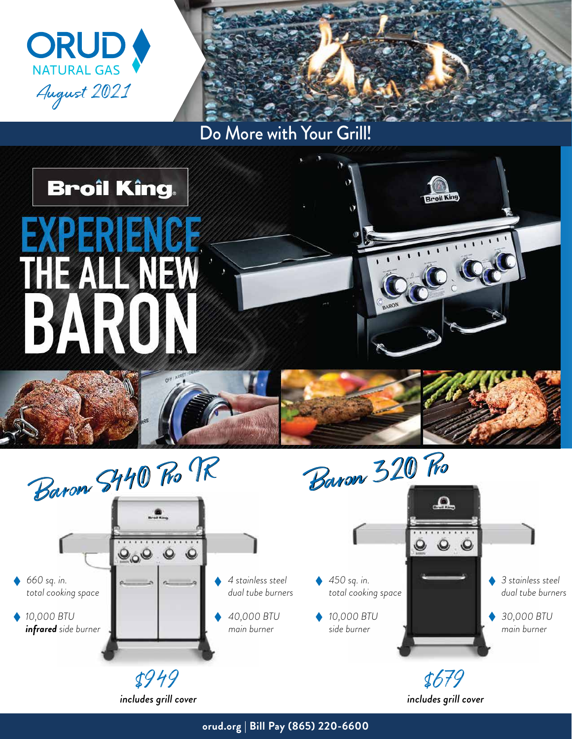



Do More with Your Grill!





*includes grill cover*

**orud.org | Bill Pay (865) 220-6600**

*includes grill cover*